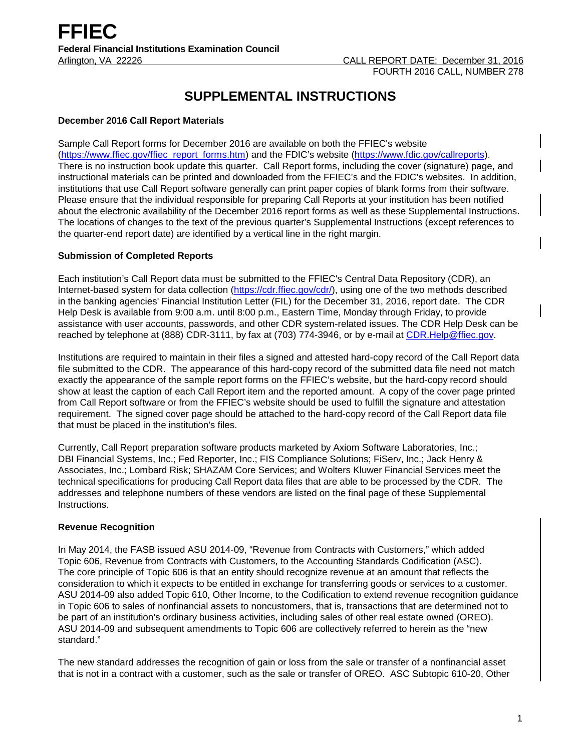# **SUPPLEMENTAL INSTRUCTIONS**

# **December 2016 Call Report Materials**

Sample Call Report forms for December 2016 are available on both the FFIEC's website [\(https://www.ffiec.gov/ffiec\\_report\\_forms.htm\)](https://www.ffiec.gov/ffiec_report_forms.htm) and the FDIC's website [\(https://www.fdic.gov/callreports\)](https://www.fdic.gov/callreports). There is no instruction book update this quarter. Call Report forms, including the cover (signature) page, and instructional materials can be printed and downloaded from the FFIEC's and the FDIC's websites. In addition, institutions that use Call Report software generally can print paper copies of blank forms from their software. Please ensure that the individual responsible for preparing Call Reports at your institution has been notified about the electronic availability of the December 2016 report forms as well as these Supplemental Instructions. The locations of changes to the text of the previous quarter's Supplemental Instructions (except references to the quarter-end report date) are identified by a vertical line in the right margin.

# **Submission of Completed Reports**

Each institution's Call Report data must be submitted to the FFIEC's Central Data Repository (CDR), an Internet-based system for data collection [\(https://cdr.ffiec.gov/cdr/\)](https://cdr.ffiec.gov/cdr/), using one of the two methods described in the banking agencies' Financial Institution Letter (FIL) for the December 31, 2016, report date. The CDR Help Desk is available from 9:00 a.m. until 8:00 p.m., Eastern Time, Monday through Friday, to provide assistance with user accounts, passwords, and other CDR system-related issues. The CDR Help Desk can be reached by telephone at (888) CDR-3111, by fax at (703) 774-3946, or by e-mail at [CDR.Help@ffiec.gov.](mailto:CDR.Help@ffiec.gov)

Institutions are required to maintain in their files a signed and attested hard-copy record of the Call Report data file submitted to the CDR. The appearance of this hard-copy record of the submitted data file need not match exactly the appearance of the sample report forms on the FFIEC's website, but the hard-copy record should show at least the caption of each Call Report item and the reported amount. A copy of the cover page printed from Call Report software or from the FFIEC's website should be used to fulfill the signature and attestation requirement. The signed cover page should be attached to the hard-copy record of the Call Report data file that must be placed in the institution's files.

Currently, Call Report preparation software products marketed by Axiom Software Laboratories, Inc.; DBI Financial Systems, Inc.; Fed Reporter, Inc.; FIS Compliance Solutions; FiServ, Inc.; Jack Henry & Associates, Inc.; Lombard Risk; SHAZAM Core Services; and Wolters Kluwer Financial Services meet the technical specifications for producing Call Report data files that are able to be processed by the CDR. The addresses and telephone numbers of these vendors are listed on the final page of these Supplemental Instructions.

## **Revenue Recognition**

In May 2014, the FASB issued ASU 2014-09, "Revenue from Contracts with Customers," which added Topic 606, Revenue from Contracts with Customers, to the Accounting Standards Codification (ASC). The core principle of Topic 606 is that an entity should recognize revenue at an amount that reflects the consideration to which it expects to be entitled in exchange for transferring goods or services to a customer. ASU 2014-09 also added Topic 610, Other Income, to the Codification to extend revenue recognition guidance in Topic 606 to sales of nonfinancial assets to noncustomers, that is, transactions that are determined not to be part of an institution's ordinary business activities, including sales of other real estate owned (OREO). ASU 2014-09 and subsequent amendments to Topic 606 are collectively referred to herein as the "new standard."

The new standard addresses the recognition of gain or loss from the sale or transfer of a nonfinancial asset that is not in a contract with a customer, such as the sale or transfer of OREO. ASC Subtopic 610-20, Other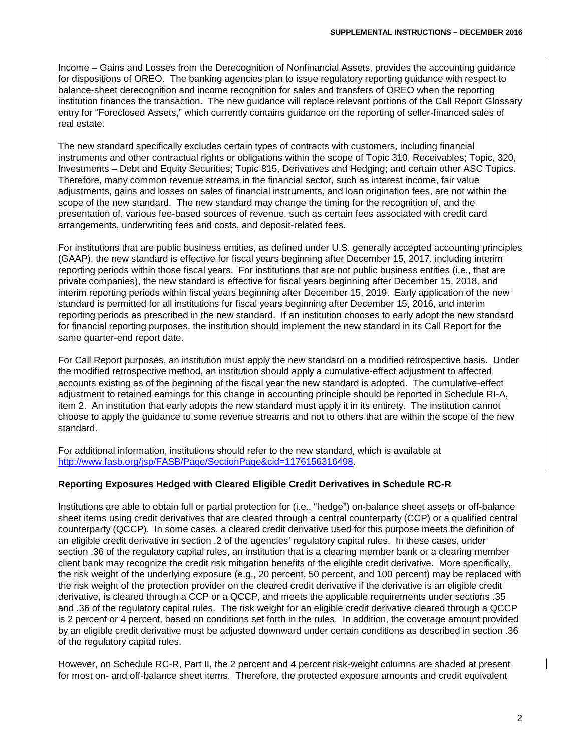Income – Gains and Losses from the Derecognition of Nonfinancial Assets, provides the accounting guidance for dispositions of OREO. The banking agencies plan to issue regulatory reporting guidance with respect to balance-sheet derecognition and income recognition for sales and transfers of OREO when the reporting institution finances the transaction. The new guidance will replace relevant portions of the Call Report Glossary entry for "Foreclosed Assets," which currently contains guidance on the reporting of seller-financed sales of real estate.

The new standard specifically excludes certain types of contracts with customers, including financial instruments and other contractual rights or obligations within the scope of Topic 310, Receivables; Topic, 320, Investments – Debt and Equity Securities; Topic 815, Derivatives and Hedging; and certain other ASC Topics. Therefore, many common revenue streams in the financial sector, such as interest income, fair value adjustments, gains and losses on sales of financial instruments, and loan origination fees, are not within the scope of the new standard. The new standard may change the timing for the recognition of, and the presentation of, various fee-based sources of revenue, such as certain fees associated with credit card arrangements, underwriting fees and costs, and deposit-related fees.

For institutions that are public business entities, as defined under U.S. generally accepted accounting principles (GAAP), the new standard is effective for fiscal years beginning after December 15, 2017, including interim reporting periods within those fiscal years. For institutions that are not public business entities (i.e., that are private companies), the new standard is effective for fiscal years beginning after December 15, 2018, and interim reporting periods within fiscal years beginning after December 15, 2019. Early application of the new standard is permitted for all institutions for fiscal years beginning after December 15, 2016, and interim reporting periods as prescribed in the new standard. If an institution chooses to early adopt the new standard for financial reporting purposes, the institution should implement the new standard in its Call Report for the same quarter-end report date.

For Call Report purposes, an institution must apply the new standard on a modified retrospective basis. Under the modified retrospective method, an institution should apply a cumulative-effect adjustment to affected accounts existing as of the beginning of the fiscal year the new standard is adopted. The cumulative-effect adjustment to retained earnings for this change in accounting principle should be reported in Schedule RI-A, item 2. An institution that early adopts the new standard must apply it in its entirety. The institution cannot choose to apply the guidance to some revenue streams and not to others that are within the scope of the new standard.

For additional information, institutions should refer to the new standard, which is available at [http://www.fasb.org/jsp/FASB/Page/SectionPage&cid=1176156316498.](http://www.fasb.org/jsp/FASB/Page/SectionPage&cid=1176156316498)

## **Reporting Exposures Hedged with Cleared Eligible Credit Derivatives in Schedule RC-R**

Institutions are able to obtain full or partial protection for (i.e., "hedge") on-balance sheet assets or off-balance sheet items using credit derivatives that are cleared through a central counterparty (CCP) or a qualified central counterparty (QCCP). In some cases, a cleared credit derivative used for this purpose meets the definition of an eligible credit derivative in section .2 of the agencies' regulatory capital rules. In these cases, under section .36 of the regulatory capital rules, an institution that is a clearing member bank or a clearing member client bank may recognize the credit risk mitigation benefits of the eligible credit derivative. More specifically, the risk weight of the underlying exposure (e.g., 20 percent, 50 percent, and 100 percent) may be replaced with the risk weight of the protection provider on the cleared credit derivative if the derivative is an eligible credit derivative, is cleared through a CCP or a QCCP, and meets the applicable requirements under sections .35 and .36 of the regulatory capital rules. The risk weight for an eligible credit derivative cleared through a QCCP is 2 percent or 4 percent, based on conditions set forth in the rules. In addition, the coverage amount provided by an eligible credit derivative must be adjusted downward under certain conditions as described in section .36 of the regulatory capital rules.

However, on Schedule RC-R, Part II, the 2 percent and 4 percent risk-weight columns are shaded at present for most on- and off-balance sheet items. Therefore, the protected exposure amounts and credit equivalent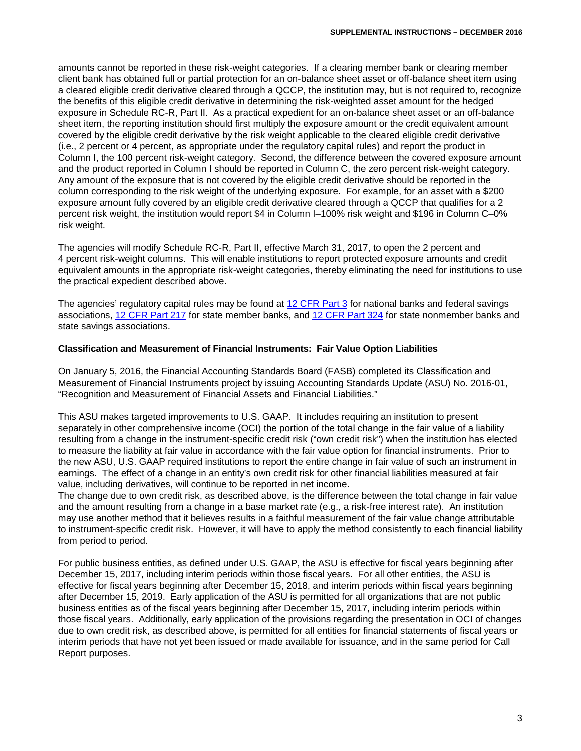amounts cannot be reported in these risk-weight categories. If a clearing member bank or clearing member client bank has obtained full or partial protection for an on-balance sheet asset or off-balance sheet item using a cleared eligible credit derivative cleared through a QCCP, the institution may, but is not required to, recognize the benefits of this eligible credit derivative in determining the risk-weighted asset amount for the hedged exposure in Schedule RC-R, Part II. As a practical expedient for an on-balance sheet asset or an off-balance sheet item, the reporting institution should first multiply the exposure amount or the credit equivalent amount covered by the eligible credit derivative by the risk weight applicable to the cleared eligible credit derivative (i.e., 2 percent or 4 percent, as appropriate under the regulatory capital rules) and report the product in Column I, the 100 percent risk-weight category. Second, the difference between the covered exposure amount and the product reported in Column I should be reported in Column C, the zero percent risk-weight category. Any amount of the exposure that is not covered by the eligible credit derivative should be reported in the column corresponding to the risk weight of the underlying exposure. For example, for an asset with a \$200 exposure amount fully covered by an eligible credit derivative cleared through a QCCP that qualifies for a 2 percent risk weight, the institution would report \$4 in Column I–100% risk weight and \$196 in Column C–0% risk weight.

The agencies will modify Schedule RC-R, Part II, effective March 31, 2017, to open the 2 percent and 4 percent risk-weight columns. This will enable institutions to report protected exposure amounts and credit equivalent amounts in the appropriate risk-weight categories, thereby eliminating the need for institutions to use the practical expedient described above.

The agencies' regulatory capital rules may be found at [12 CFR Part 3](https://www.gpo.gov/fdsys/pkg/CFR-2016-title12-vol1/pdf/CFR-2016-title12-vol1-part3.pdf) for national banks and federal savings associations, [12 CFR Part 217](https://www.gpo.gov/fdsys/pkg/CFR-2016-title12-vol2/pdf/CFR-2016-title12-vol2-part217.pdf) for state member banks, and [12 CFR Part 324](https://www.gpo.gov/fdsys/pkg/CFR-2016-title12-vol5/pdf/CFR-2016-title12-vol5-part324.pdf) for state nonmember banks and state savings associations.

#### **Classification and Measurement of Financial Instruments: Fair Value Option Liabilities**

On January 5, 2016, the Financial Accounting Standards Board (FASB) completed its Classification and Measurement of Financial Instruments project by issuing Accounting Standards Update (ASU) No. 2016-01, "Recognition and Measurement of Financial Assets and Financial Liabilities."

This ASU makes targeted improvements to U.S. GAAP. It includes requiring an institution to present separately in other comprehensive income (OCI) the portion of the total change in the fair value of a liability resulting from a change in the instrument-specific credit risk ("own credit risk") when the institution has elected to measure the liability at fair value in accordance with the fair value option for financial instruments. Prior to the new ASU, U.S. GAAP required institutions to report the entire change in fair value of such an instrument in earnings. The effect of a change in an entity's own credit risk for other financial liabilities measured at fair value, including derivatives, will continue to be reported in net income.

The change due to own credit risk, as described above, is the difference between the total change in fair value and the amount resulting from a change in a base market rate (e.g., a risk-free interest rate). An institution may use another method that it believes results in a faithful measurement of the fair value change attributable to instrument-specific credit risk. However, it will have to apply the method consistently to each financial liability from period to period.

For public business entities, as defined under U.S. GAAP, the ASU is effective for fiscal years beginning after December 15, 2017, including interim periods within those fiscal years. For all other entities, the ASU is effective for fiscal years beginning after December 15, 2018, and interim periods within fiscal years beginning after December 15, 2019. Early application of the ASU is permitted for all organizations that are not public business entities as of the fiscal years beginning after December 15, 2017, including interim periods within those fiscal years. Additionally, early application of the provisions regarding the presentation in OCI of changes due to own credit risk, as described above, is permitted for all entities for financial statements of fiscal years or interim periods that have not yet been issued or made available for issuance, and in the same period for Call Report purposes.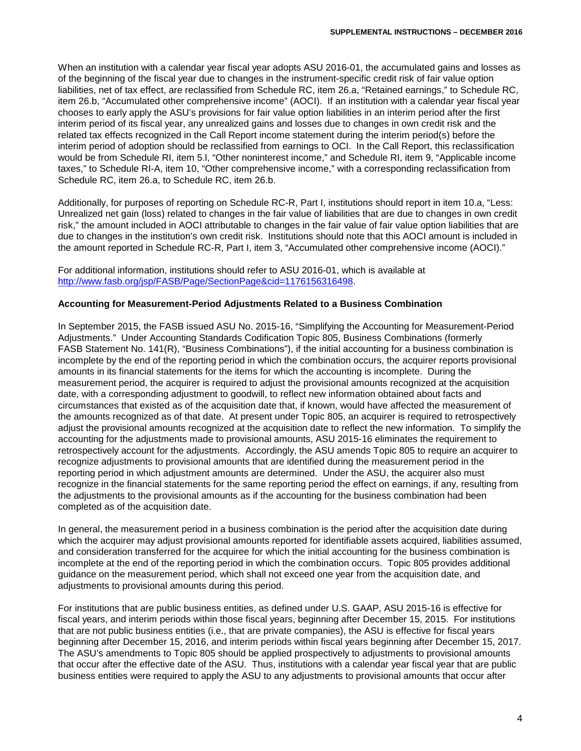When an institution with a calendar year fiscal year adopts ASU 2016-01, the accumulated gains and losses as of the beginning of the fiscal year due to changes in the instrument-specific credit risk of fair value option liabilities, net of tax effect, are reclassified from Schedule RC, item 26.a, "Retained earnings," to Schedule RC, item 26.b, "Accumulated other comprehensive income" (AOCI). If an institution with a calendar year fiscal year chooses to early apply the ASU's provisions for fair value option liabilities in an interim period after the first interim period of its fiscal year, any unrealized gains and losses due to changes in own credit risk and the related tax effects recognized in the Call Report income statement during the interim period(s) before the interim period of adoption should be reclassified from earnings to OCI. In the Call Report, this reclassification would be from Schedule RI, item 5.l, "Other noninterest income," and Schedule RI, item 9, "Applicable income taxes," to Schedule RI-A, item 10, "Other comprehensive income," with a corresponding reclassification from Schedule RC, item 26.a, to Schedule RC, item 26.b.

Additionally, for purposes of reporting on Schedule RC-R, Part I, institutions should report in item 10.a, "Less: Unrealized net gain (loss) related to changes in the fair value of liabilities that are due to changes in own credit risk," the amount included in AOCI attributable to changes in the fair value of fair value option liabilities that are due to changes in the institution's own credit risk. Institutions should note that this AOCI amount is included in the amount reported in Schedule RC-R, Part I, item 3, "Accumulated other comprehensive income (AOCI)."

For additional information, institutions should refer to ASU 2016-01, which is available at [http://www.fasb.org/jsp/FASB/Page/SectionPage&cid=1176156316498.](http://www.fasb.org/jsp/FASB/Page/SectionPage&cid=1176156316498) 

#### **Accounting for Measurement-Period Adjustments Related to a Business Combination**

In September 2015, the FASB issued ASU No. 2015-16, "Simplifying the Accounting for Measurement-Period Adjustments." Under Accounting Standards Codification Topic 805, Business Combinations (formerly FASB Statement No. 141(R), "Business Combinations"), if the initial accounting for a business combination is incomplete by the end of the reporting period in which the combination occurs, the acquirer reports provisional amounts in its financial statements for the items for which the accounting is incomplete. During the measurement period, the acquirer is required to adjust the provisional amounts recognized at the acquisition date, with a corresponding adjustment to goodwill, to reflect new information obtained about facts and circumstances that existed as of the acquisition date that, if known, would have affected the measurement of the amounts recognized as of that date. At present under Topic 805, an acquirer is required to retrospectively adjust the provisional amounts recognized at the acquisition date to reflect the new information. To simplify the accounting for the adjustments made to provisional amounts, ASU 2015-16 eliminates the requirement to retrospectively account for the adjustments. Accordingly, the ASU amends Topic 805 to require an acquirer to recognize adjustments to provisional amounts that are identified during the measurement period in the reporting period in which adjustment amounts are determined. Under the ASU, the acquirer also must recognize in the financial statements for the same reporting period the effect on earnings, if any, resulting from the adjustments to the provisional amounts as if the accounting for the business combination had been completed as of the acquisition date.

In general, the measurement period in a business combination is the period after the acquisition date during which the acquirer may adjust provisional amounts reported for identifiable assets acquired, liabilities assumed, and consideration transferred for the acquiree for which the initial accounting for the business combination is incomplete at the end of the reporting period in which the combination occurs. Topic 805 provides additional guidance on the measurement period, which shall not exceed one year from the acquisition date, and adiustments to provisional amounts during this period.

For institutions that are public business entities, as defined under U.S. GAAP, ASU 2015-16 is effective for fiscal years, and interim periods within those fiscal years, beginning after December 15, 2015. For institutions that are not public business entities (i.e., that are private companies), the ASU is effective for fiscal years beginning after December 15, 2016, and interim periods within fiscal years beginning after December 15, 2017. The ASU's amendments to Topic 805 should be applied prospectively to adjustments to provisional amounts that occur after the effective date of the ASU. Thus, institutions with a calendar year fiscal year that are public business entities were required to apply the ASU to any adjustments to provisional amounts that occur after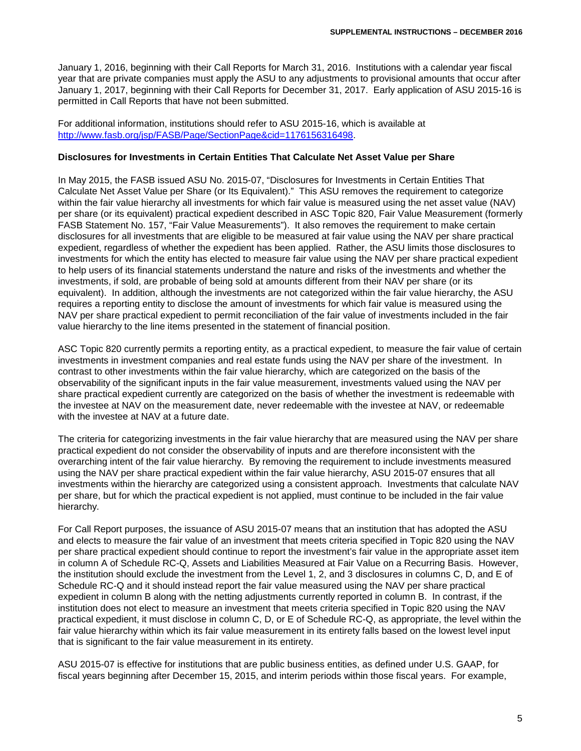January 1, 2016, beginning with their Call Reports for March 31, 2016. Institutions with a calendar year fiscal year that are private companies must apply the ASU to any adjustments to provisional amounts that occur after January 1, 2017, beginning with their Call Reports for December 31, 2017. Early application of ASU 2015-16 is permitted in Call Reports that have not been submitted.

For additional information, institutions should refer to ASU 2015-16, which is available at [http://www.fasb.org/jsp/FASB/Page/SectionPage&cid=1176156316498.](http://www.fasb.org/jsp/FASB/Page/SectionPage&cid=1176156316498)

#### **Disclosures for Investments in Certain Entities That Calculate Net Asset Value per Share**

In May 2015, the FASB issued ASU No. 2015-07, "Disclosures for Investments in Certain Entities That Calculate Net Asset Value per Share (or Its Equivalent)." This ASU removes the requirement to categorize within the fair value hierarchy all investments for which fair value is measured using the net asset value (NAV) per share (or its equivalent) practical expedient described in ASC Topic 820, Fair Value Measurement (formerly FASB Statement No. 157, "Fair Value Measurements"). It also removes the requirement to make certain disclosures for all investments that are eligible to be measured at fair value using the NAV per share practical expedient, regardless of whether the expedient has been applied. Rather, the ASU limits those disclosures to investments for which the entity has elected to measure fair value using the NAV per share practical expedient to help users of its financial statements understand the nature and risks of the investments and whether the investments, if sold, are probable of being sold at amounts different from their NAV per share (or its equivalent). In addition, although the investments are not categorized within the fair value hierarchy, the ASU requires a reporting entity to disclose the amount of investments for which fair value is measured using the NAV per share practical expedient to permit reconciliation of the fair value of investments included in the fair value hierarchy to the line items presented in the statement of financial position.

ASC Topic 820 currently permits a reporting entity, as a practical expedient, to measure the fair value of certain investments in investment companies and real estate funds using the NAV per share of the investment. In contrast to other investments within the fair value hierarchy, which are categorized on the basis of the observability of the significant inputs in the fair value measurement, investments valued using the NAV per share practical expedient currently are categorized on the basis of whether the investment is redeemable with the investee at NAV on the measurement date, never redeemable with the investee at NAV, or redeemable with the investee at NAV at a future date.

The criteria for categorizing investments in the fair value hierarchy that are measured using the NAV per share practical expedient do not consider the observability of inputs and are therefore inconsistent with the overarching intent of the fair value hierarchy. By removing the requirement to include investments measured using the NAV per share practical expedient within the fair value hierarchy, ASU 2015-07 ensures that all investments within the hierarchy are categorized using a consistent approach. Investments that calculate NAV per share, but for which the practical expedient is not applied, must continue to be included in the fair value hierarchy.

For Call Report purposes, the issuance of ASU 2015-07 means that an institution that has adopted the ASU and elects to measure the fair value of an investment that meets criteria specified in Topic 820 using the NAV per share practical expedient should continue to report the investment's fair value in the appropriate asset item in column A of Schedule RC-Q, Assets and Liabilities Measured at Fair Value on a Recurring Basis. However, the institution should exclude the investment from the Level 1, 2, and 3 disclosures in columns C, D, and E of Schedule RC-Q and it should instead report the fair value measured using the NAV per share practical expedient in column B along with the netting adjustments currently reported in column B. In contrast, if the institution does not elect to measure an investment that meets criteria specified in Topic 820 using the NAV practical expedient, it must disclose in column C, D, or E of Schedule RC-Q, as appropriate, the level within the fair value hierarchy within which its fair value measurement in its entirety falls based on the lowest level input that is significant to the fair value measurement in its entirety.

ASU 2015-07 is effective for institutions that are public business entities, as defined under U.S. GAAP, for fiscal years beginning after December 15, 2015, and interim periods within those fiscal years. For example,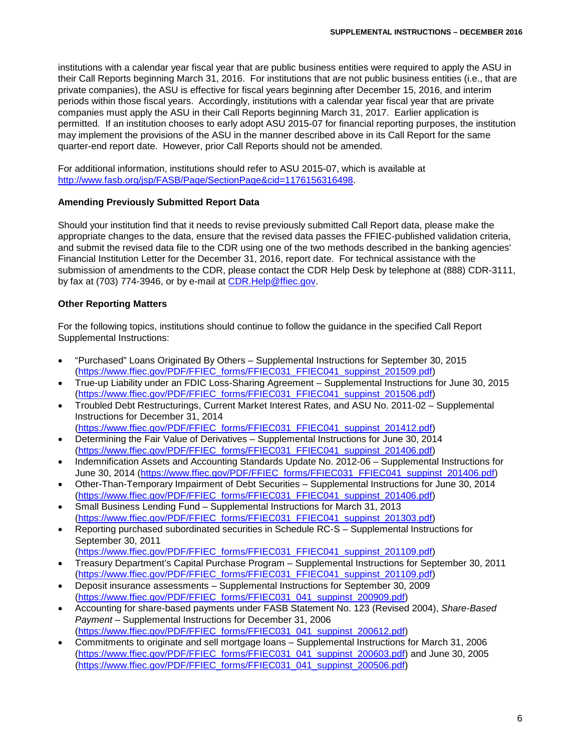institutions with a calendar year fiscal year that are public business entities were required to apply the ASU in their Call Reports beginning March 31, 2016. For institutions that are not public business entities (i.e., that are private companies), the ASU is effective for fiscal years beginning after December 15, 2016, and interim periods within those fiscal years. Accordingly, institutions with a calendar year fiscal year that are private companies must apply the ASU in their Call Reports beginning March 31, 2017. Earlier application is permitted. If an institution chooses to early adopt ASU 2015-07 for financial reporting purposes, the institution may implement the provisions of the ASU in the manner described above in its Call Report for the same quarter-end report date. However, prior Call Reports should not be amended.

For additional information, institutions should refer to ASU 2015-07, which is available at http://www.fasb.org/isp/FASB/Page/SectionPage&cid=1176156316498.

#### **Amending Previously Submitted Report Data**

Should your institution find that it needs to revise previously submitted Call Report data, please make the appropriate changes to the data, ensure that the revised data passes the FFIEC-published validation criteria, and submit the revised data file to the CDR using one of the two methods described in the banking agencies' Financial Institution Letter for the December 31, 2016, report date. For technical assistance with the submission of amendments to the CDR, please contact the CDR Help Desk by telephone at (888) CDR-3111, by fax at (703) 774-3946, or by e-mail at [CDR.Help@ffiec.gov.](mailto:CDR.Help@ffiec.gov)

## **Other Reporting Matters**

For the following topics, institutions should continue to follow the guidance in the specified Call Report Supplemental Instructions:

- "Purchased" Loans Originated By Others Supplemental Instructions for September 30, 2015 [\(https://www.ffiec.gov/PDF/FFIEC\\_forms/FFIEC031\\_FFIEC041\\_suppinst\\_201509.pdf\)](https://www.ffiec.gov/PDF/FFIEC_forms/FFIEC031_FFIEC041_suppinst_201509.pdf)
- True-up Liability under an FDIC Loss-Sharing Agreement Supplemental Instructions for June 30, 2015 [\(https://www.ffiec.gov/PDF/FFIEC\\_forms/FFIEC031\\_FFIEC041\\_suppinst\\_201506.pdf\)](https://www.ffiec.gov/PDF/FFIEC_forms/FFIEC031_FFIEC041_suppinst_201506.pdf)
- Troubled Debt Restructurings, Current Market Interest Rates, and ASU No. 2011-02 Supplemental Instructions for December 31, 2014 [\(https://www.ffiec.gov/PDF/FFIEC\\_forms/FFIEC031\\_FFIEC041\\_suppinst\\_201412.pdf\)](https://www.ffiec.gov/PDF/FFIEC_forms/FFIEC031_FFIEC041_suppinst_201412.pdf)
- Determining the Fair Value of Derivatives Supplemental Instructions for June 30, 2014 [\(https://www.ffiec.gov/PDF/FFIEC\\_forms/FFIEC031\\_FFIEC041\\_suppinst\\_201406.pdf\)](https://www.ffiec.gov/PDF/FFIEC_forms/FFIEC031_FFIEC041_suppinst_201406.pdf)
- Indemnification Assets and Accounting Standards Update No. 2012-06 Supplemental Instructions for June 30, 2014 [\(https://www.ffiec.gov/PDF/FFIEC\\_forms/FFIEC031\\_FFIEC041\\_suppinst\\_201406.pdf\)](https://www.ffiec.gov/PDF/FFIEC_forms/FFIEC031_FFIEC041_suppinst_201406.pdf)
- Other-Than-Temporary Impairment of Debt Securities Supplemental Instructions for June 30, 2014 [\(https://www.ffiec.gov/PDF/FFIEC\\_forms/FFIEC031\\_FFIEC041\\_suppinst\\_201406.pdf\)](https://www.ffiec.gov/PDF/FFIEC_forms/FFIEC031_FFIEC041_suppinst_201406.pdf)
- Small Business Lending Fund Supplemental Instructions for March 31, 2013 [\(https://www.ffiec.gov/PDF/FFIEC\\_forms/FFIEC031\\_FFIEC041\\_suppinst\\_201303.pdf\)](https://www.ffiec.gov/PDF/FFIEC_forms/FFIEC031_FFIEC041_suppinst_201303.pdf)
- Reporting purchased subordinated securities in Schedule RC-S Supplemental Instructions for September 30, 2011 [\(https://www.ffiec.gov/PDF/FFIEC\\_forms/FFIEC031\\_FFIEC041\\_suppinst\\_201109.pdf\)](https://www.ffiec.gov/PDF/FFIEC_forms/FFIEC031_FFIEC041_suppinst_201109.pdf)
- Treasury Department's Capital Purchase Program Supplemental Instructions for September 30, 2011 [\(https://www.ffiec.gov/PDF/FFIEC\\_forms/FFIEC031\\_FFIEC041\\_suppinst\\_201109.pdf\)](https://www.ffiec.gov/PDF/FFIEC_forms/FFIEC031_FFIEC041_suppinst_201109.pdf)
- Deposit insurance assessments Supplemental Instructions for September 30, 2009 [\(https://www.ffiec.gov/PDF/FFIEC\\_forms/FFIEC031\\_041\\_suppinst\\_200909.pdf\)](https://www.ffiec.gov/PDF/FFIEC_forms/FFIEC031_041_suppinst_200909.pdf)
- Accounting for share-based payments under FASB Statement No. 123 (Revised 2004), *Share-Based Payment* – Supplemental Instructions for December 31, 2006 [\(https://www.ffiec.gov/PDF/FFIEC\\_forms/FFIEC031\\_041\\_suppinst\\_200612.pdf\)](https://www.ffiec.gov/PDF/FFIEC_forms/FFIEC031_041_suppinst_200612.pdf)
- Commitments to originate and sell mortgage loans Supplemental Instructions for March 31, 2006 [\(https://www.ffiec.gov/PDF/FFIEC\\_forms/FFIEC031\\_041\\_suppinst\\_200603.pdf\)](https://www.ffiec.gov/PDF/FFIEC_forms/FFIEC031_041_suppinst_200603.pdf) and June 30, 2005 [\(https://www.ffiec.gov/PDF/FFIEC\\_forms/FFIEC031\\_041\\_suppinst\\_200506.pdf\)](https://www.ffiec.gov/PDF/FFIEC_forms/FFIEC031_041_suppinst_200506.pdf)